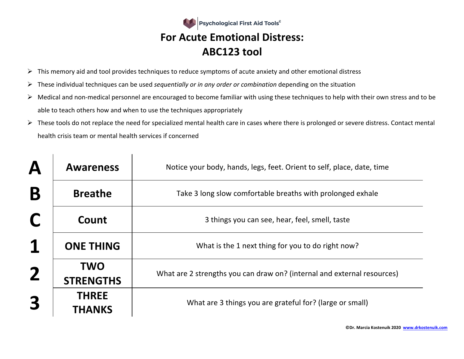

- $\triangleright$  This memory aid and tool provides techniques to reduce symptoms of acute anxiety and other emotional distress
- Ø These individual techniques can be used *sequentially or in any order or combination* depending on the situation

 $\overline{1}$ 

 $\mathbf{I}$ 

- $\triangleright$  Medical and non-medical personnel are encouraged to become familiar with using these techniques to help with their own stress and to be able to teach others how and when to use the techniques appropriately
- $\triangleright$  These tools do not replace the need for specialized mental health care in cases where there is prolonged or severe distress. Contact mental health crisis team or mental health services if concerned

| $\boldsymbol{\mathsf{A}}$ | <b>Awareness</b>               | Notice your body, hands, legs, feet. Orient to self, place, date, time  |
|---------------------------|--------------------------------|-------------------------------------------------------------------------|
| B                         | <b>Breathe</b>                 | Take 3 long slow comfortable breaths with prolonged exhale              |
| C                         | Count                          | 3 things you can see, hear, feel, smell, taste                          |
| 1                         | <b>ONE THING</b>               | What is the 1 next thing for you to do right now?                       |
| $\mathbf 2$               | <b>TWO</b><br><b>STRENGTHS</b> | What are 2 strengths you can draw on? (internal and external resources) |
| 3                         | <b>THREE</b><br><b>THANKS</b>  | What are 3 things you are grateful for? (large or small)                |